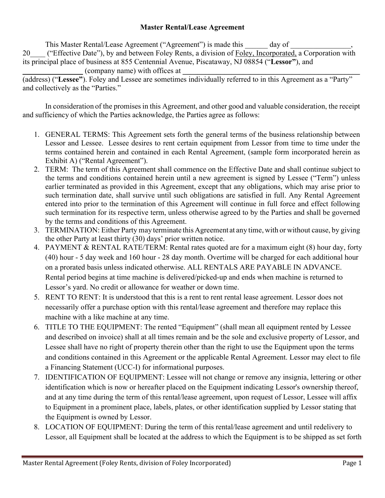## **Master Rental/Lease Agreement**

This Master Rental/Lease Agreement ("Agreement") is made this day of 20 ("Effective Date"), by and between Foley Rents, a division of Foley, Incorporated, a Corporation with its principal place of business at 855 Centennial Avenue, Piscataway, NJ 08854 ("**Lessor"**), and (company name) with offices at

(address) ("**Lessee"**). Foley and Lessee are sometimes individually referred to in this Agreement as a "Party" and collectively as the "Parties."

In consideration of the promises in this Agreement, and other good and valuable consideration, the receipt and sufficiency of which the Parties acknowledge, the Parties agree as follows:

- 1. GENERAL TERMS: This Agreement sets forth the general terms of the business relationship between Lessor and Lessee. Lessee desires to rent certain equipment from Lessor from time to time under the terms contained herein and contained in each Rental Agreement, (sample form incorporated herein as Exhibit A) ("Rental Agreement").
- 2. TERM: The term of this Agreement shall commence on the Effective Date and shall continue subject to the terms and conditions contained herein until a new agreement is signed by Lessee ("Term") unless earlier terminated as provided in this Agreement, except that any obligations, which may arise prior to such termination date, shall survive until such obligations are satisfied in full. Any Rental Agreement entered into prior to the termination of this Agreement will continue in full force and effect following such termination for its respective term, unless otherwise agreed to by the Parties and shall be governed by the terms and conditions of this Agreement.
- 3. TERMINATION: Either Party may terminate this Agreement at any time, with or without cause, by giving the other Party at least thirty (30) days' prior written notice.
- 4. PAYMENT & RENTAL RATE/TERM: Rental rates quoted are for a maximum eight (8) hour day, forty (40) hour - 5 day week and 160 hour - 28 day month. Overtime will be charged for each additional hour on a prorated basis unless indicated otherwise. ALL RENTALS ARE PAYABLE IN ADVANCE. Rental period begins at time machine is delivered/picked-up and ends when machine is returned to Lessor's yard. No credit or allowance for weather or down time.
- 5. RENT TO RENT: It is understood that this is a rent to rent rental lease agreement. Lessor does not necessarily offer a purchase option with this rental/lease agreement and therefore may replace this machine with a like machine at any time.
- 6. TITLE TO THE EQUIPMENT: The rented "Equipment" (shall mean all equipment rented by Lessee and described on invoice) shall at all times remain and be the sole and exclusive property of Lessor, and Lessee shall have no right of property therein other than the right to use the Equipment upon the terms and conditions contained in this Agreement or the applicable Rental Agreement. Lessor may elect to file a Financing Statement (UCC-I) for informational purposes.
- 7. IDENTIFICATION OF EQUIPMENT: Lessee will not change or remove any insignia, lettering or other identification which is now or hereafter placed on the Equipment indicating Lessor's ownership thereof, and at any time during the term of this rental/lease agreement, upon request of Lessor, Lessee will affix to Equipment in a prominent place, labels, plates, or other identification supplied by Lessor stating that the Equipment is owned by Lessor.
- 8. LOCATION OF EQUIPMENT: During the term of this rental/lease agreement and until redelivery to Lessor, all Equipment shall be located at the address to which the Equipment is to be shipped as set forth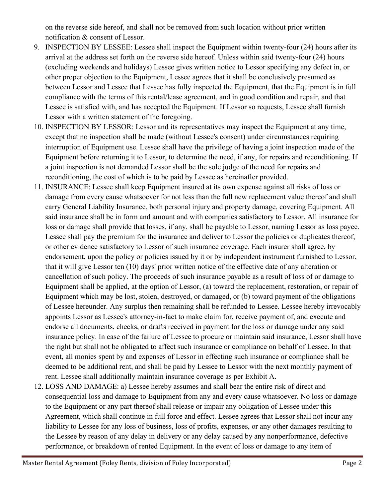on the reverse side hereof, and shall not be removed from such location without prior written notification & consent of Lessor.

- 9. INSPECTION BY LESSEE: Lessee shall inspect the Equipment within twenty-four (24) hours after its arrival at the address set forth on the reverse side hereof. Unless within said twenty-four (24) hours (excluding weekends and holidays) Lessee gives written notice to Lessor specifying any defect in, or other proper objection to the Equipment, Lessee agrees that it shall be conclusively presumed as between Lessor and Lessee that Lessee has fully inspected the Equipment, that the Equipment is in full compliance with the terms of this rental/lease agreement, and in good condition and repair, and that Lessee is satisfied with, and has accepted the Equipment. If Lessor so requests, Lessee shall furnish Lessor with a written statement of the foregoing.
- 10. INSPECTION BY LESSOR: Lessor and its representatives may inspect the Equipment at any time, except that no inspection shall be made (without Lessee's consent) under circumstances requiring interruption of Equipment use. Lessee shall have the privilege of having a joint inspection made of the Equipment before returning it to Lessor, to determine the need, if any, for repairs and reconditioning. If a joint inspection is not demanded Lessor shall be the sole judge of the need for repairs and reconditioning, the cost of which is to be paid by Lessee as hereinafter provided.
- 11. INSURANCE: Lessee shall keep Equipment insured at its own expense against all risks of loss or damage from every cause whatsoever for not less than the full new replacement value thereof and shall carry General Liability Insurance, both personal injury and property damage, covering Equipment. All said insurance shall be in form and amount and with companies satisfactory to Lessor. All insurance for loss or damage shall provide that losses, if any, shall be payable to Lessor, naming Lessor as loss payee. Lessee shall pay the premium for the insurance and deliver to Lessor the policies or duplicates thereof, or other evidence satisfactory to Lessor of such insurance coverage. Each insurer shall agree, by endorsement, upon the policy or policies issued by it or by independent instrument furnished to Lessor, that it will give Lessor ten (10) days' prior written notice of the effective date of any alteration or cancellation of such policy. The proceeds of such insurance payable as a result of loss of or damage to Equipment shall be applied, at the option of Lessor, (a) toward the replacement, restoration, or repair of Equipment which may be lost, stolen, destroyed, or damaged, or (b) toward payment of the obligations of Lessee hereunder. Any surplus then remaining shall be refunded to Lessee. Lessee hereby irrevocably appoints Lessor as Lessee's attorney-in-fact to make claim for, receive payment of, and execute and endorse all documents, checks, or drafts received in payment for the loss or damage under any said insurance policy. In case of the failure of Lessee to procure or maintain said insurance, Lessor shall have the right but shall not be obligated to affect such insurance or compliance on behalf of Lessee. In that event, all monies spent by and expenses of Lessor in effecting such insurance or compliance shall be deemed to be additional rent, and shall be paid by Lessee to Lessor with the next monthly payment of rent. Lessee shall additionally maintain insurance coverage as per Exhibit A.
- 12. LOSS AND DAMAGE: a) Lessee hereby assumes and shall bear the entire risk of direct and consequential loss and damage to Equipment from any and every cause whatsoever. No loss or damage to the Equipment or any part thereof shall release or impair any obligation of Lessee under this Agreement, which shall continue in full force and effect. Lessee agrees that Lessor shall not incur any liability to Lessee for any loss of business, loss of profits, expenses, or any other damages resulting to the Lessee by reason of any delay in delivery or any delay caused by any nonperformance, defective performance, or breakdown of rented Equipment. In the event of loss or damage to any item of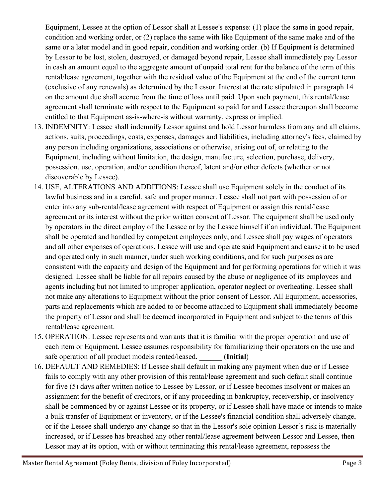Equipment, Lessee at the option of Lessor shall at Lessee's expense: (1) place the same in good repair, condition and working order, or (2) replace the same with like Equipment of the same make and of the same or a later model and in good repair, condition and working order. (b) If Equipment is determined by Lessor to be lost, stolen, destroyed, or damaged beyond repair, Lessee shall immediately pay Lessor in cash an amount equal to the aggregate amount of unpaid total rent for the balance of the term of this rental/lease agreement, together with the residual value of the Equipment at the end of the current term (exclusive of any renewals) as determined by the Lessor. Interest at the rate stipulated in paragraph 14 on the amount due shall accrue from the time of loss until paid. Upon such payment, this rental/lease agreement shall terminate with respect to the Equipment so paid for and Lessee thereupon shall become entitled to that Equipment as-is-where-is without warranty, express or implied.

- 13. INDEMNITY: Lessee shall indemnify Lessor against and hold Lessor harmless from any and all claims, actions, suits, proceedings, costs, expenses, damages and liabilities, including attorney's fees, claimed by any person including organizations, associations or otherwise, arising out of, or relating to the Equipment, including without limitation, the design, manufacture, selection, purchase, delivery, possession, use, operation, and/or condition thereof, latent and/or other defects (whether or not discoverable by Lessee).
- 14. USE, ALTERATIONS AND ADDITIONS: Lessee shall use Equipment solely in the conduct of its lawful business and in a careful, safe and proper manner. Lessee shall not part with possession of or enter into any sub-rental/lease agreement with respect of Equipment or assign this rental/lease agreement or its interest without the prior written consent of Lessor. The equipment shall be used only by operators in the direct employ of the Lessee or by the Lessee himself if an individual. The Equipment shall be operated and handled by competent employees only, and Lessee shall pay wages of operators and all other expenses of operations. Lessee will use and operate said Equipment and cause it to be used and operated only in such manner, under such working conditions, and for such purposes as are consistent with the capacity and design of the Equipment and for performing operations for which it was designed. Lessee shall be liable for all repairs caused by the abuse or negligence of its employees and agents including but not limited to improper application, operator neglect or overheating. Lessee shall not make any alterations to Equipment without the prior consent of Lessor. All Equipment, accessories, parts and replacements which are added to or become attached to Equipment shall immediately become the property of Lessor and shall be deemed incorporated in Equipment and subject to the terms of this rental/lease agreement.
- 15. OPERATION: Lessee represents and warrants that it is familiar with the proper operation and use of each item or Equipment. Lessee assumes responsibility for familiarizing their operators on the use and safe operation of all product models rented/leased. \_\_\_\_\_\_ (**Initial**)
- 16. DEFAULT AND REMEDIES: If Lessee shall default in making any payment when due or if Lessee fails to comply with any other provision of this rental/lease agreement and such default shall continue for five (5) days after written notice to Lessee by Lessor, or if Lessee becomes insolvent or makes an assignment for the benefit of creditors, or if any proceeding in bankruptcy, receivership, or insolvency shall be commenced by or against Lessee or its property, or if Lessee shall have made or intends to make a bulk transfer of Equipment or inventory, or if the Lessee's financial condition shall adversely change, or if the Lessee shall undergo any change so that in the Lessor's sole opinion Lessor's risk is materially increased, or if Lessee has breached any other rental/lease agreement between Lessor and Lessee, then Lessor may at its option, with or without terminating this rental/lease agreement, repossess the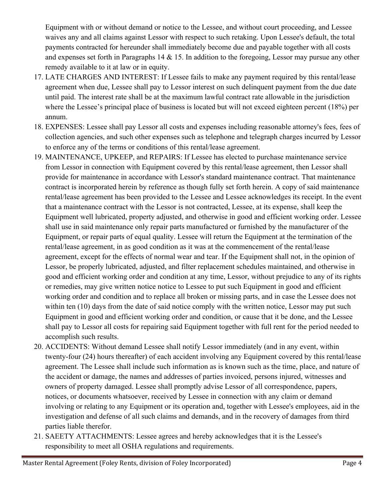Equipment with or without demand or notice to the Lessee, and without court proceeding, and Lessee waives any and all claims against Lessor with respect to such retaking. Upon Lessee's default, the total payments contracted for hereunder shall immediately become due and payable together with all costs and expenses set forth in Paragraphs 14  $\&$  15. In addition to the foregoing, Lessor may pursue any other remedy available to it at law or in equity.

- 17. LATE CHARGES AND INTEREST: If Lessee fails to make any payment required by this rental/lease agreement when due, Lessee shall pay to Lessor interest on such delinquent payment from the due date until paid. The interest rate shall be at the maximum lawful contract rate allowable in the jurisdiction where the Lessee's principal place of business is located but will not exceed eighteen percent (18%) per annum.
- 18. EXPENSES: Lessee shall pay Lessor all costs and expenses including reasonable attorney's fees, fees of collection agencies, and such other expenses such as telephone and telegraph charges incurred by Lessor to enforce any of the terms or conditions of this rental/lease agreement.
- 19. MAINTENANCE, UPKEEP, and REPAIRS: If Lessee has elected to purchase maintenance service from Lessor in connection with Equipment covered by this rental/lease agreement, then Lessor shall provide for maintenance in accordance with Lessor's standard maintenance contract. That maintenance contract is incorporated herein by reference as though fully set forth herein. A copy of said maintenance rental/lease agreement has been provided to the Lessee and Lessee acknowledges its receipt. In the event that a maintenance contract with the Lessor is not contracted, Lessee, at its expense, shall keep the Equipment well lubricated, property adjusted, and otherwise in good and efficient working order. Lessee shall use in said maintenance only repair parts manufactured or furnished by the manufacturer of the Equipment, or repair parts of equal quality. Lessee will return the Equipment at the termination of the rental/lease agreement, in as good condition as it was at the commencement of the rental/lease agreement, except for the effects of normal wear and tear. If the Equipment shall not, in the opinion of Lessor, be properly lubricated, adjusted, and filter replacement schedules maintained, and otherwise in good and efficient working order and condition at any time, Lessor, without prejudice to any of its rights or remedies, may give written notice notice to Lessee to put such Equipment in good and efficient working order and condition and to replace all broken or missing parts, and in case the Lessee does not within ten (10) days from the date of said notice comply with the written notice, Lessor may put such Equipment in good and efficient working order and condition, or cause that it be done, and the Lessee shall pay to Lessor all costs for repairing said Equipment together with full rent for the period needed to accomplish such results.
- 20. ACCIDENTS: Without demand Lessee shall notify Lessor immediately (and in any event, within twenty-four (24) hours thereafter) of each accident involving any Equipment covered by this rental/lease agreement. The Lessee shall include such information as is known such as the time, place, and nature of the accident or damage, the names and addresses of parties invoiced, persons injured, witnesses and owners of property damaged. Lessee shall promptly advise Lessor of all correspondence, papers, notices, or documents whatsoever, received by Lessee in connection with any claim or demand involving or relating to any Equipment or its operation and, together with Lessee's employees, aid in the investigation and defense of all such claims and demands, and in the recovery of damages from third parties liable therefor.
- 21. SAEETY ATTACHMENTS: Lessee agrees and hereby acknowledges that it is the Lessee's responsibility to meet all OSHA regulations and requirements.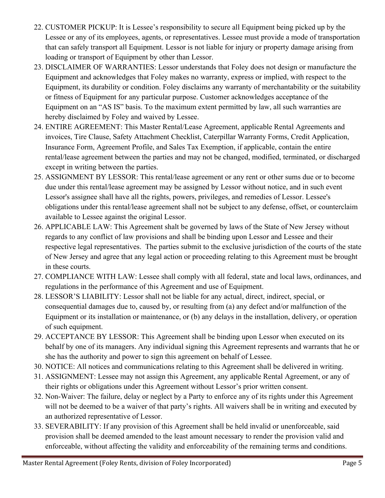- 22. CUSTOMER PICKUP: It is Lessee's responsibility to secure all Equipment being picked up by the Lessee or any of its employees, agents, or representatives. Lessee must provide a mode of transportation that can safely transport all Equipment. Lessor is not liable for injury or property damage arising from loading or transport of Equipment by other than Lessor.
- 23. DISCLAIMER OF WARRANTIES: Lessor understands that Foley does not design or manufacture the Equipment and acknowledges that Foley makes no warranty, express or implied, with respect to the Equipment, its durability or condition. Foley disclaims any warranty of merchantability or the suitability or fitness of Equipment for any particular purpose. Customer acknowledges acceptance of the Equipment on an "AS IS" basis. To the maximum extent permitted by law, all such warranties are hereby disclaimed by Foley and waived by Lessee.
- 24. ENTIRE AGREEMENT: This Master Rental/Lease Agreement, applicable Rental Agreements and invoices, Tire Clause, Safety Attachment Checklist, Caterpillar Warranty Forms, Credit Application, Insurance Form, Agreement Profile, and Sales Tax Exemption, if applicable, contain the entire rental/lease agreement between the parties and may not be changed, modified, terminated, or discharged except in writing between the parties.
- 25. ASSIGNMENT BY LESSOR: This rental/lease agreement or any rent or other sums due or to become due under this rental/lease agreement may be assigned by Lessor without notice, and in such event Lessor's assignee shall have all the rights, powers, privileges, and remedies of Lessor. Lessee's obligations under this rental/lease agreement shall not be subject to any defense, offset, or counterclaim available to Lessee against the original Lessor.
- 26. APPLICABLE LAW: This Agreement shalt be governed by laws of the State of New Jersey without regards to any conflict of law provisions and shall be binding upon Lessor and Lessee and their respective legal representatives. The parties submit to the exclusive jurisdiction of the courts of the state of New Jersey and agree that any legal action or proceeding relating to this Agreement must be brought in these courts.
- 27. COMPLIANCE WITH LAW: Lessee shall comply with all federal, state and local laws, ordinances, and regulations in the performance of this Agreement and use of Equipment.
- 28. LESSOR'S LIABILITY: Lessor shall not be liable for any actual, direct, indirect, special, or consequential damages due to, caused by, or resulting from (a) any defect and/or malfunction of the Equipment or its installation or maintenance, or (b) any delays in the installation, delivery, or operation of such equipment.
- 29. ACCEPTANCE BY LESSOR: This Agreement shall be binding upon Lessor when executed on its behalf by one of its managers. Any individual signing this Agreement represents and warrants that he or she has the authority and power to sign this agreement on behalf of Lessee.
- 30. NOTICE: All notices and communications relating to this Agreement shall be delivered in writing.
- 31. ASSIGNMENT: Lessee may not assign this Agreement, any applicable Rental Agreement, or any of their rights or obligations under this Agreement without Lessor's prior written consent.
- 32. Non-Waiver: The failure, delay or neglect by a Party to enforce any of its rights under this Agreement will not be deemed to be a waiver of that party's rights. All waivers shall be in writing and executed by an authorized representative of Lessor.
- 33. SEVERABILITY: If any provision of this Agreement shall be held invalid or unenforceable, said provision shall be deemed amended to the least amount necessary to render the provision valid and enforceable, without affecting the validity and enforceability of the remaining terms and conditions.